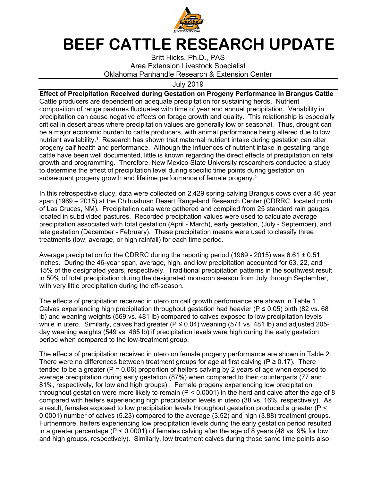

## **BEEF CATTLE RESEARCH UPDATE**

Britt Hicks, Ph.D., PAS Area Extension Livestock Specialist Oklahoma Panhandle Research & Extension Center

July 2019

**Effect of Precipitation Received during Gestation on Progeny Performance in Brangus Cattle**  Cattle producers are dependent on adequate precipitation for sustaining herds. Nutrient composition of range pastures fluctuates with time of year and annual precipitation. Variability in precipitation can cause negative effects on forage growth and quality. This relationship is especially critical in desert areas where precipitation values are generally low or seasonal. Thus, drought can be a major economic burden to cattle producers, with animal performance being altered due to low nutrient availability.<sup>1</sup> Research has shown that maternal nutrient intake during gestation can alter progeny calf health and performance. Although the influences of nutrient intake in gestating range cattle have been well documented, little is known regarding the direct effects of precipitation on fetal growth and programming. Therefore, New Mexico State University researchers conducted a study to determine the effect of precipitation level during specific time points during gestation on subsequent progeny growth and lifetime performance of female progeny.<sup>2</sup>

In this retrospective study, data were collected on 2,429 spring-calving Brangus cows over a 46 year span (1969 – 2015) at the Chihuahuan Desert Rangeland Research Center (CDRRC, located north of Las Cruces, NM). Precipitation data were gathered and compiled from 25 standard rain gauges located in subdivided pastures. Recorded precipitation values were used to calculate average precipitation associated with total gestation (April - March), early gestation, (July - September), and late gestation (December - February). These precipitation means were used to classify three treatments (low, average, or high rainfall) for each time period.

Average precipitation for the CDRRC during the reporting period (1969 - 2015) was 6.61  $\pm$  0.51 inches. During the 46-year span, average, high, and low precipitation accounted for 63, 22, and 15% of the designated years, respectively. Traditional precipitation patterns in the southwest result in 50% of total precipitation during the designated monsoon season from July through September, with very little precipitation during the off-season.

The effects of precipitation received in utero on calf growth performance are shown in Table 1. Calves experiencing high precipitation throughout gestation had heavier ( $P \le 0.05$ ) birth (82 vs. 68 lb) and weaning weights (569 vs. 481 lb) compared to calves exposed to low precipitation levels while in utero. Similarly, calves had greater ( $P ≤ 0.04$ ) weaning (571 vs. 481 lb) and adjusted 205day weaning weights (549 vs. 465 lb) if precipitation levels were high during the early gestation period when compared to the low-treatment group.

The effects pf precipitation received in utero on female progeny performance are shown in Table 2. There were no differences between treatment groups for age at first calving ( $P \ge 0.17$ ). There tended to be a greater ( $P = 0.06$ ) proportion of heifers calving by 2 years of age when exposed to average precipitation during early gestation (87%) when compared to their counterparts (77 and 81%, respectively, for low and high groups) . Female progeny experiencing low precipitation throughout gestation were more likely to remain ( $P < 0.0001$ ) in the herd and calve after the age of 8 compared with heifers experiencing high precipitation levels in utero (38 vs. 16%, respectively). As a result, females exposed to low precipitation levels throughout gestation produced a greater (P < 0.0001) number of calves (5.23) compared to the average (3.52) and high (3.88) treatment groups. Furthermore, heifers experiencing low precipitation levels during the early gestation period resulted in a greater percentage (P < 0.0001) of females calving after the age of 8 years (48 vs. 9% for low and high groups, respectively). Similarly, low treatment calves during those same time points also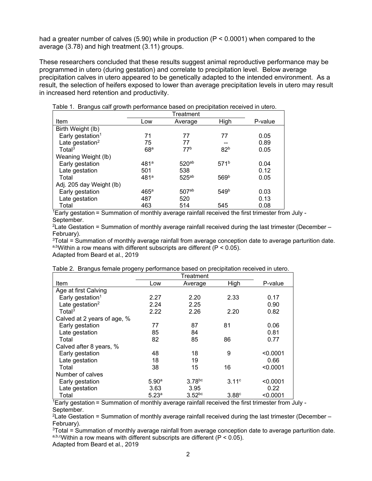had a greater number of calves (5.90) while in production (P < 0.0001) when compared to the average (3.78) and high treatment (3.11) groups.

These researchers concluded that these results suggest animal reproductive performance may be programmed in utero (during gestation) and correlate to precipitation level. Below average precipitation calves in utero appeared to be genetically adapted to the intended environment. As a result, the selection of heifers exposed to lower than average precipitation levels in utero may result in increased herd retention and productivity.

| Item                         | Low             | Average           | High             | P-value |
|------------------------------|-----------------|-------------------|------------------|---------|
| Birth Weight (lb)            |                 |                   |                  |         |
| Early gestation <sup>1</sup> | 71              | 77                | 77               | 0.05    |
| Late gestation <sup>2</sup>  | 75              | 77                |                  | 0.89    |
| Total <sup>3</sup>           | 68 <sup>a</sup> | 77 <sup>b</sup>   | 82 <sup>b</sup>  | 0.05    |
| Weaning Weight (lb)          |                 |                   |                  |         |
| Early gestation              | 481a            | 520 <sup>ab</sup> | 571 <sup>b</sup> | 0.04    |
| Late gestation               | 501             | 538               |                  | 0.12    |
| Total                        | 481a            | 525ab             | 569b             | 0.05    |
| Adj. 205 day Weight (lb)     |                 |                   |                  |         |
| Early gestation              | $465^a$         | 507ab             | 549 <sup>b</sup> | 0.03    |
| Late gestation               | 487             | 520               |                  | 0.13    |
| Total                        | 463             | 514               | 545              | 0.08    |

Table 1. Brangus calf growth performance based on precipitation received in utero.

1Early gestation = Summation of monthly average rainfall received the first trimester from July - September.

<sup>2</sup>Late Gestation = Summation of monthly average rainfall received during the last trimester (December – February).

<sup>3</sup>Total = Summation of monthly average rainfall from average conception date to average parturition date. a,bWithin a row means with different subscripts are different ( $P < 0.05$ ).

Adapted from Beard et al., 2019

|  |  |  | Table 2. Brangus female progeny performance based on precipitation received in utero. |
|--|--|--|---------------------------------------------------------------------------------------|
|  |  |  |                                                                                       |

|                              | Treatment         |             |       |          |  |  |
|------------------------------|-------------------|-------------|-------|----------|--|--|
| Item                         | Low               | Average     | High  | P-value  |  |  |
| Age at first Calving         |                   |             |       |          |  |  |
| Early gestation <sup>1</sup> | 2.27              | 2.20        | 2.33  | 0.17     |  |  |
| Late gestation <sup>2</sup>  | 2.24              | 2.25        |       | 0.90     |  |  |
| Total <sup>3</sup>           | 2.22              | 2.26        | 2.20  | 0.82     |  |  |
| Calved at 2 years of age, %  |                   |             |       |          |  |  |
| Early gestation              | 77                | 87          | 81    | 0.06     |  |  |
| Late gestation               | 85                | 84          |       | 0.81     |  |  |
| Total                        | 82                | 85          | 86    | 0.77     |  |  |
| Calved after 8 years, %      |                   |             |       |          |  |  |
| Early gestation              | 48                | 18          | 9     | < 0.0001 |  |  |
| Late gestation               | 18                | 19          |       | 0.66     |  |  |
| Total                        | 38                | 15          | 16    | < 0.0001 |  |  |
| Number of calves             |                   |             |       |          |  |  |
| Early gestation              | 5.90 <sup>a</sup> | $3.78$ bc   | 3.11c | < 0.0001 |  |  |
| Late gestation               | 3.63              | 3.95        |       | 0.22     |  |  |
| Total                        | 5.23a             | $3.52^{bc}$ | 3.88c | < 0.0001 |  |  |

1Early gestation = Summation of monthly average rainfall received the first trimester from July - September.

<sup>2</sup> Late Gestation = Summation of monthly average rainfall received during the last trimester (December – February).

<sup>3</sup>Total = Summation of monthly average rainfall from average conception date to average parturition date. a,b,cwithin a row means with different subscripts are different ( $P < 0.05$ ).

Adapted from Beard et al., 2019